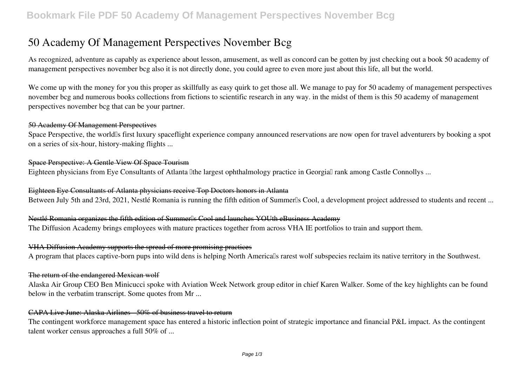# **50 Academy Of Management Perspectives November Bcg**

As recognized, adventure as capably as experience about lesson, amusement, as well as concord can be gotten by just checking out a book **50 academy of management perspectives november bcg** also it is not directly done, you could agree to even more just about this life, all but the world.

We come up with the money for you this proper as skillfully as easy quirk to get those all. We manage to pay for 50 academy of management perspectives november bcg and numerous books collections from fictions to scientific research in any way. in the midst of them is this 50 academy of management perspectives november bcg that can be your partner.

#### 50 Academy Of Management Perspectives

Space Perspective, the world<sup>os</sup> first luxury spaceflight experience company announced reservations are now open for travel adventurers by booking a spot on a series of six-hour, history-making flights ...

#### Space Perspective: A Gentle View Of Space Tourism

Eighteen physicians from Eye Consultants of Atlanta Ithe largest ophthalmology practice in Georgial rank among Castle Connollys ...

### Eighteen Eye Consultants of Atlanta physicians receive Top Doctors honors in Atlanta

Between July 5th and 23rd, 2021, Nestlé Romania is running the fifth edition of Summerlls Cool, a development project addressed to students and recent ...

#### Nestlé Romania organizes the fifth edition of Summerlls Cool and launches YOUth eBusiness Academy

The Diffusion Academy brings employees with mature practices together from across VHA IE portfolios to train and support them.

#### VHA Diffusion Academy supports the spread of more promising practices

A program that places captive-born pups into wild dens is helping North Americalls rarest wolf subspecies reclaim its native territory in the Southwest.

#### The return of the endangered Mexican wolf

Alaska Air Group CEO Ben Minicucci spoke with Aviation Week Network group editor in chief Karen Walker. Some of the key highlights can be found below in the verbatim transcript. Some quotes from Mr ...

### CAPA Live June: Alaska Airlines - 50% of business travel to return

The contingent workforce management space has entered a historic inflection point of strategic importance and financial P&L impact. As the contingent talent worker census approaches a full 50% of ...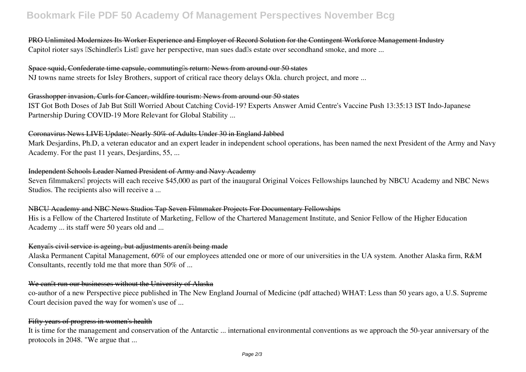# **Bookmark File PDF 50 Academy Of Management Perspectives November Bcg**

### PRO Unlimited Modernizes Its Worker Experience and Employer of Record Solution for the Contingent Workforce Management Industry Capitol rioter says *ISchindler<sup>Is</sup>* List<sup>I</sup> gave her perspective, man sues dad<sup>Is</sup> estate over secondhand smoke, and more ...

#### Space squid, Confederate time capsule, commuting<sup>[]</sup> seturn: News from around our 50 states

NJ towns name streets for Isley Brothers, support of critical race theory delays Okla. church project, and more ...

#### Grasshopper invasion, Curls for Cancer, wildfire tourism: News from around our 50 states

IST Got Both Doses of Jab But Still Worried About Catching Covid-19? Experts Answer Amid Centre's Vaccine Push 13:35:13 IST Indo-Japanese Partnership During COVID-19 More Relevant for Global Stability ...

#### Coronavirus News LIVE Update: Nearly 50% of Adults Under 30 in England Jabbed

Mark Desjardins, Ph.D, a veteran educator and an expert leader in independent school operations, has been named the next President of the Army and Navy Academy. For the past 11 years, Desjardins, 55, ...

#### Independent Schools Leader Named President of Army and Navy Academy

Seven filmmakers<sup>[]</sup> projects will each receive \$45,000 as part of the inaugural Original Voices Fellowships launched by NBCU Academy and NBC News Studios. The recipients also will receive a ...

#### NBCU Academy and NBC News Studios Tap Seven Filmmaker Projects For Documentary Fellowships

His is a Fellow of the Chartered Institute of Marketing, Fellow of the Chartered Management Institute, and Senior Fellow of the Higher Education Academy ... its staff were 50 years old and ...

#### Kenyalls civil service is ageing, but adjustments arenllt being made

Alaska Permanent Capital Management, 60% of our employees attended one or more of our universities in the UA system. Another Alaska firm, R&M Consultants, recently told me that more than 50% of ...

#### We can<sup>II</sup>t run our businesses without the University of Alaska

co-author of a new Perspective piece published in The New England Journal of Medicine (pdf attached) WHAT: Less than 50 years ago, a U.S. Supreme Court decision paved the way for women's use of ...

#### Fifty years of progress in women's health

It is time for the management and conservation of the Antarctic ... international environmental conventions as we approach the 50-year anniversary of the protocols in 2048. "We argue that ...